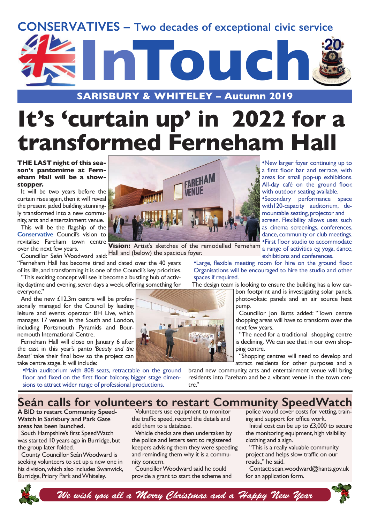



# **It's 'curtain up' in 2022 for a transformed Ferneham Hall**

#### **THE LAST night of this season's pantomime at Ferneham Hall will be a showstopper.**

It will be two years before the curtain rises again, then it will reveal the present jaded building stunningly transformed into a new community, arts and entertainment venue.

This will be the flagship of the **Conservative** Council's vision to revitalise Fareham town centre over the next few years.

ver the next few years.<br>Councillor Seán Woodward said: Hall and (below) the spacious foyer. "Ferneham Hall has become tired and dated over the 40 years of its life, and transforming it is one of the Council's key priorities.

"This exciting concept will see it become a bustling hub of activity, daytime and evening, seven days a week, offering something for

everyone." And the new £12.3m centre will be professionally managed for the Council by leading leisure and events operator BH Live, which manages 17 venues in the South and London, including Portsmouth Pyramids and Bournemouth International Centre.

Ferneham Hall will close on January 6 after the cast in this year's panto *'Beauty and the Beast'* take their final bow so the project can take centre stage. It will include:

•Main auditorium with 808 seats, retractable on the ground floor and fixed on the first floor balcony, bigger stage dimensions to attract wider range of professional productions.



•First floor studio to accommodate **Vision:** Artist's sketches of the remodelled Ferneham a range of activities eg yoga, dance, exhibitions and conferences.

•Large, flexible meeting room for hire on the ground floor. Organisations will be encouraged to hire the studio and other spaces if required.

The design team is looking to ensure the building has a low car-

bon footprint and is investigating solar panels, photovoltaic panels and an air source heat pump.

•New larger foyer continuing up to a first floor bar and terrace, with areas for small pop-up exhibitions. All-day café on the ground floor, with outdoor seating available. •Secondary performance space with120-capacity auditorium, demountable seating, projector and screen. Flexibility allows uses such as cinema screenings, conferences, dance, community or club meetings.

Councillor Jon Butts added: "Town centre shopping areas will have to transform over the next few years.

"The need for a traditional shopping centre is declining. We can see that in our own shopping centre.

"Shopping centres will need to develop and attract residents for other purposes and a

brand new community, arts and entertainment venue will bring residents into Fareham and be a vibrant venue in the town centre."

# **Seán calls for volunteers to restart Community SpeedWatch**

**A BID to restart Community Speed-Watch in Sarisbury and Park Gate areas has been launched.** 

South Hampshire's first SpeedWatch was started 10 years ago in Burridge, but the group later folded.

County Councillor Seán Woodward is seeking volunteers to set up a new one in his division, which also includes Swanwick, Burridge, Priory Park and Whiteley.

Volunteers use equipment to monitor the traffic speed, record the details and add them to a database.

Vehicle checks are then undertaken by the police and letters sent to registered keepers advising them they were speeding and reminding them why it is a community concern.

Councillor Woodward said he could provide a grant to start the scheme and police would cover costs for vetting, training and support for office work.

Initial cost can be up to £3,000 to secure the monitoring equipment, high visibility clothing and a sign.

"This is a really valuable community project and helps slow traffic on our roads.," he said.

Contact: sean.woodward@hants.gov.uk for an application form.



*We wish you all a Merry Christmas and a Happy New Year*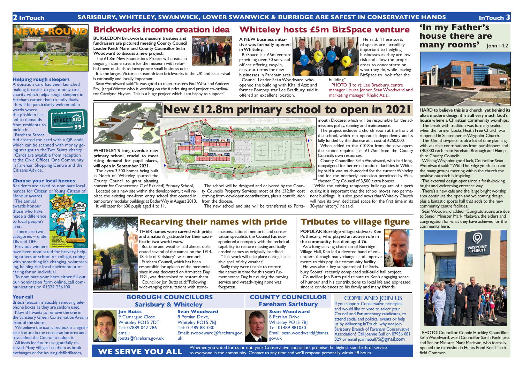#### **Helping rough sleepers**

A donation card has been launched making it easier to give money to a charity which helps rough sleepers in Fareham rather than to individuals. It will be particularly welcomed in

wards where the problem has led to demands from residents to tackle it. Fareham Street

AID

Aid created the card with a QR code which can be scanned with money going straight to the Two Saints charity. Cards are available from reception at the Civic Offices, One Community in Fareham Shopping Centre and the Citizens Advice.

#### **Choose your local heroes**

Residents are asked to nominate local heroes for Citizen or Young Citizen of

Honour awards. The annual awards honour those who have made a difference to local people's lives.

We believe the iconic red box is a significant feature in the conservation area and have asked the Council to adopt it. All ideas for future use gratefully re-

 There are two categories – under 18s and 18+. Previous winners

have been nominated for bravery, helping others at school or college, coping with something life changing, volunteering, helping the local environment or caring for an individual.

To nominate your hero either fill out our nomination form online, call communications on 01329 236100.

#### **Your call**

British Telecom is steadily removing telephone boxes as they are seldom used. Now BT wants to remove the one in the Sarisbury Green Conservation Area in front of the shops.

ceived. Many villages use them as book exchanges or for housing defibrillators,

Whether you voted for us or not, your Conservative councillors promise the highest standards of service to everyone in the community. Contact us any time and we'll respond personally within 48 hours.







Sadly, they were unable to restore the names in time for this year's Remembrance Day, but during the moving service and wreath-laying none was forgotten.

**Seán Woodward** 8 Persian Drive, Whiteley PO15 7BJ Tel: 01489 881030 Email: swoodward@fareham.gov. uk



### **BOROUGH COUNCILLORS Sarisbury & Whiteley**

### **COUNTY COUNCILLOR Fareham Sarisbury**

COME AND JOIN US If you support Conservative principles and would like to vote to select your Council and Parliamentary candidates, to attend social and political events or help us by delivering InTouch, why not join Sarisbury Branch of Fareham Conservative Association? Call Joanne Bull on 07956 081 329 or email joannebull75@gmail.com

He said: "These sorts of spaces are incredibly important to fledgling businesses as they are low risk and allow the proprietors to concentrate on what they do, while leaving BizSpace to look after the

PHOTO (I to r): Lee Bradbury, centre manager Louisa Jenner, Seán Woodward and marketing manager Khalid Aziz. .



**WE SERVE YOU ALL**



**THEIR names were carved with pride and a nation's gratitude for their sacrifice in two world wars.**

Seán Woodward said: "It was good to meet trustees Paul West and Andrew Fry, Jacqui Winter who is working on the fundraising and project co-ordinator Carolyne Haynes. This is a huge project which I am happy to support."

> But time and weather had almost obliterated several of the names on the 1914- 18 side of Sarisbury's war memorial. Fareham Council, which has been responsible for upkeep of the memorial since it was dedicated on Armistice Day 1921, was determined to restore them. Councillor Jon Butts said: "Following wide-ranging consultations with stone

masons, national memorial and conservation specialists the Council has now appointed a company with the technical capability to restore missing and badly eroded names as originally inscribed.

The project includes a church room at the front of the school, which can operate independently and is fully funded by the diocese at a cost of £250,000.

"This work will take place during a suitable spell of dry weather."

When added to the £10.8m from the developers, the school requires just £1.75m from the County Council's own resources.

# **Recarving their names with pride**

# **New £12.8m primary school to open in 2021**



## **Tributes to village figure**

**POPULAR Burridge village stalwart Ken Pothecary, who played an active role in the community, has died aged 76.**

As a long-serving chairman of Burridge Village Hall, Ken led a devoted band of volunteers through many changes and improvements to this popular community facility. He was also a key supporter of 1st Saris-



bury Scouts' recently completed self-build hall project. Councillor Jon Butts paid tribute to Ken's engaging sense of humour and his contributions to local life and expressed sincere condolences to his family and many friends.

# **Whiteley hosts £5m BizSpace venture**

Seán Woodward added: "Congratulations are due to Senior Minister Mark Madavan, the elders and congregation for what they have achieved for the community here."



**A NEW business initiative was formally opened in Whiteley.**

BizSpace is a £5m venture providing over 70 serviced offices offering easy-in, easy-out terms for new businesses in Fareham area.

Council Leader Seán Woodward, who opened the building with Khalid Aziz and former Pompey star Lee Bradbury, said it offered an excellent location.



building."

## **Brickworks income creation idea**

**BURSLEDON Brickworks museum trustees and fundraisers are pictured meeting County Council Leader Keith Mans and County Councillor Seán Woodward to discuss a new project.**

The £1.8m New Foundations Project will create an ongoing income stream for the museum with refurbishment of sheds to incorporate small business units.

It is the largest Victorian steam-driven brickworks in the UK and its survival is nationally and locally important.

**WHITELEY'S long-overdue new primary school, crucial to meet rising demand for pupil places, will open in September 2021.** The extra 3,500 homes being built in North of Whiteley spurred the County Council to grant planning

consent for Cornerstone C of E (aided) Primary School,. Located on a new site within the development, it will replace the existing one-form entry school that opened in temporary modular buildings at Bader Way in August 2013.

It will cater for 630 pupils aged 4 to 11.

The school will be designed and delivered by the County Council's Property Services, most of the £12.8m cost coming from developer contributions, plus a contribution from the diocese.

The new school and site will be transferred to Ports-

mouth Diocese, which will be responsible for the admissions policy, running and maintenance.

County Councillor Seán Woodward, who had longcampaigned for better educational facilities in Whiteley, said it was much-needed for the current Whiteley and for the northerly extension permitted by Winchester City Council of 3,500 extra houses.

"While the existing temporary buildings are of superb quality, it is important that the school moves into permanent buildings. It is also good news that Whiteley Church will have its own dedicated space for the first time in its 30-year history," he said.

# **'In my Father's house there are many rooms' John 14.2**



**HARD to believe this is a church, yet behind its ultra modern design it is still very much God's house where a Christian community worships.**

The break with tradition was formally sealed when the former Locks Heath Free Church was reopened in September as Waypoint Church.

The £5m showpiece took a lot of time planning with valuable contributions from parishioners and £40,000 each from Fareham Borough and Hampshire County Councils.

Wishing Waypoint good luck, Councillor Seán Woodward said: "With The Edge youth club and the many groups meeting within the church the positive outreach is inspiring."

The external design opens into a fresh-looking, bright and welcoming entrance way.

There's a new cafe and the large bright worship area continues the open and welcoming design, plus a fantastic sports hall that adds to the new community centre facilities.

PHOTO: Councillor Connie Hockley, Councillor Seán Woodward, ward Councillor Sarah Pankhurst and Senior Minister Mark Madavan, who formally opened the extension in Hunts Pond Road, Titchfield Common.